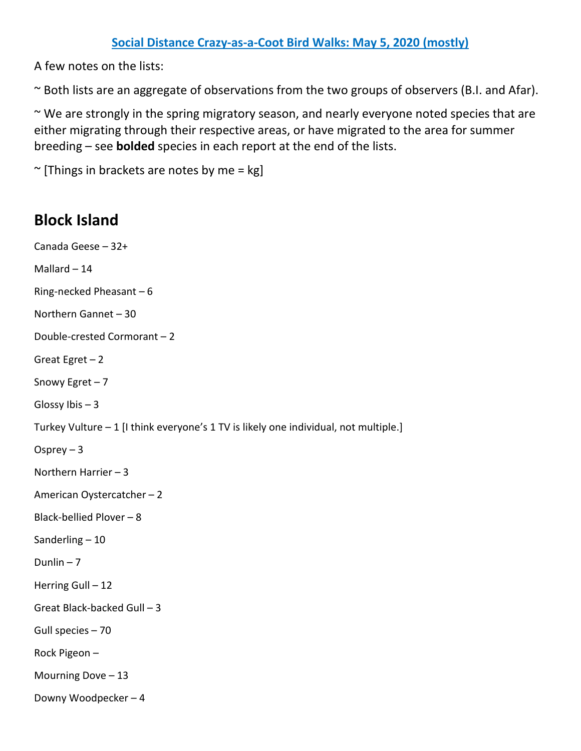A few notes on the lists:

~ Both lists are an aggregate of observations from the two groups of observers (B.I. and Afar).

~ We are strongly in the spring migratory season, and nearly everyone noted species that are either migrating through their respective areas, or have migrated to the area for summer breeding – see **bolded** species in each report at the end of the lists.

 $\sim$  [Things in brackets are notes by me = kg]

## **Block Island**

Canada Geese – 32+ Mallard – 14 Ring-necked Pheasant – 6 Northern Gannet – 30 Double-crested Cormorant – 2 Great Egret – 2 Snowy Egret – 7 Glossy Ibis – 3 Turkey Vulture – 1 [I think everyone's 1 TV is likely one individual, not multiple.] Osprey – 3 Northern Harrier – 3 American Oystercatcher – 2 Black-bellied Plover – 8 Sanderling – 10 Dunlin  $-7$ Herring Gull – 12 Great Black-backed Gull – 3 Gull species – 70 Rock Pigeon – Mourning Dove – 13 Downy Woodpecker – 4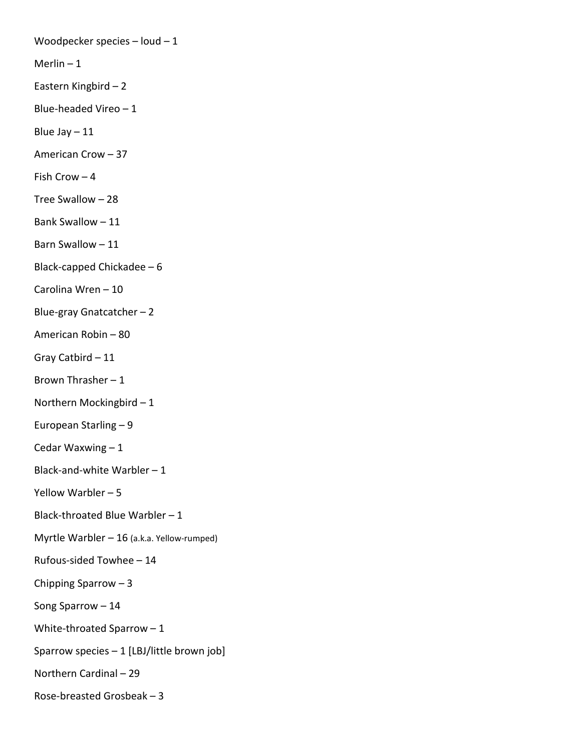Woodpecker species – loud – 1 Merlin  $-1$ Eastern Kingbird – 2 Blue-headed Vireo – 1 Blue Jay  $-11$ American Crow – 37 Fish Crow – 4 Tree Swallow – 28 Bank Swallow – 11 Barn Swallow – 11 Black-capped Chickadee – 6 Carolina Wren – 10 Blue-gray Gnatcatcher – 2 American Robin – 80 Gray Catbird – 11 Brown Thrasher – 1 Northern Mockingbird – 1 European Starling – 9 Cedar Waxwing – 1 Black-and-white Warbler – 1 Yellow Warbler – 5 Black-throated Blue Warbler – 1 Myrtle Warbler – 16 (a.k.a. Yellow-rumped) Rufous-sided Towhee – 14 Chipping Sparrow – 3 Song Sparrow – 14 White-throated Sparrow – 1 Sparrow species – 1 [LBJ/little brown job] Northern Cardinal – 29 Rose-breasted Grosbeak – 3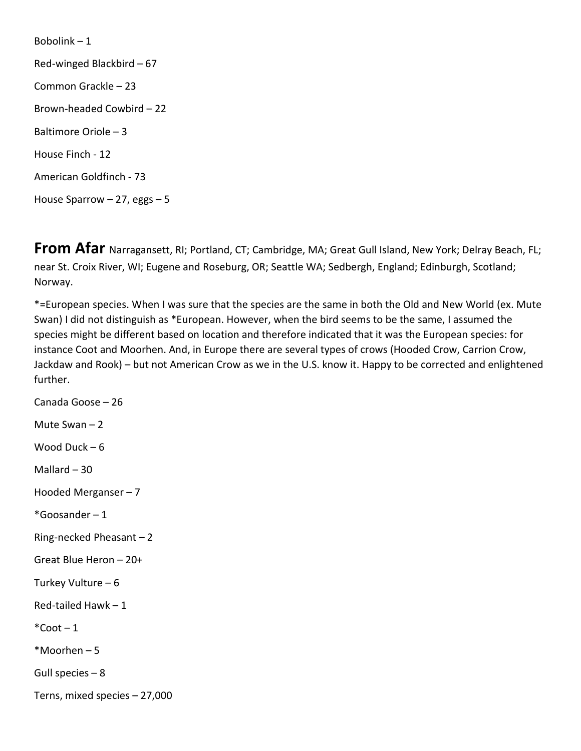Bobolink – 1 Red-winged Blackbird – 67 Common Grackle – 23 Brown-headed Cowbird – 22 Baltimore Oriole – 3 House Finch - 12 American Goldfinch - 73 House Sparrow  $-27$ , eggs  $-5$ 

**From Afar** Narragansett, RI; Portland, CT; Cambridge, MA; Great Gull Island, New York; Delray Beach, FL; near St. Croix River, WI; Eugene and Roseburg, OR; Seattle WA; Sedbergh, England; Edinburgh, Scotland; Norway.

\*=European species. When I was sure that the species are the same in both the Old and New World (ex. Mute Swan) I did not distinguish as \*European. However, when the bird seems to be the same, I assumed the species might be different based on location and therefore indicated that it was the European species: for instance Coot and Moorhen. And, in Europe there are several types of crows (Hooded Crow, Carrion Crow, Jackdaw and Rook) – but not American Crow as we in the U.S. know it. Happy to be corrected and enlightened further.

Canada Goose – 26 Mute Swan – 2 Wood Duck – 6 Mallard  $-30$ Hooded Merganser – 7  $*G$ oosander – 1 Ring-necked Pheasant – 2 Great Blue Heron – 20+ Turkey Vulture – 6 Red-tailed Hawk – 1  $*$ Coot – 1 \*Moorhen – 5 Gull species – 8 Terns, mixed species – 27,000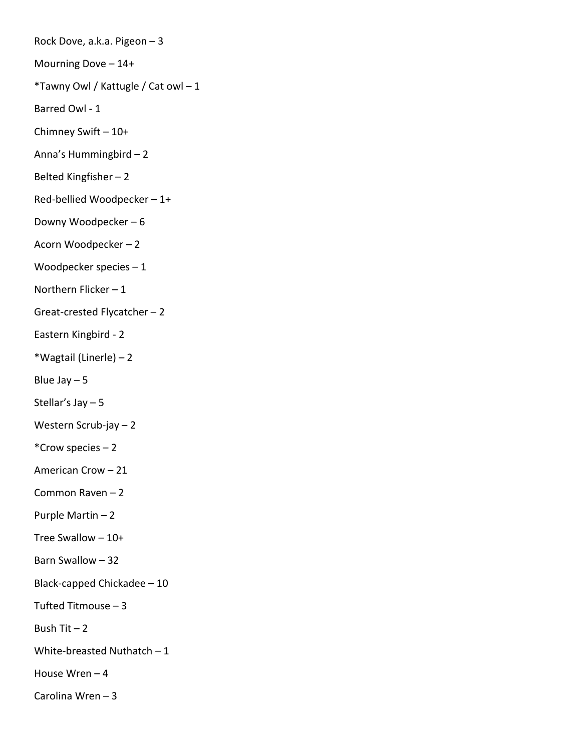Rock Dove, a.k.a. Pigeon – 3 Mourning Dove – 14+ \*Tawny Owl / Kattugle / Cat owl – 1 Barred Owl - 1 Chimney Swift – 10+ Anna's Hummingbird – 2 Belted Kingfisher – 2 Red-bellied Woodpecker – 1+ Downy Woodpecker – 6 Acorn Woodpecker – 2 Woodpecker species – 1 Northern Flicker – 1 Great-crested Flycatcher – 2 Eastern Kingbird - 2 \*Wagtail (Linerle) – 2 Blue Jay  $-5$ Stellar's Jay – 5 Western Scrub-jay – 2 \*Crow species – 2 American Crow – 21 Common Raven – 2 Purple Martin – 2 Tree Swallow – 10+ Barn Swallow – 32 Black-capped Chickadee – 10 Tufted Titmouse – 3 Bush Tit  $-2$ White-breasted Nuthatch  $-1$ House Wren – 4 Carolina Wren – 3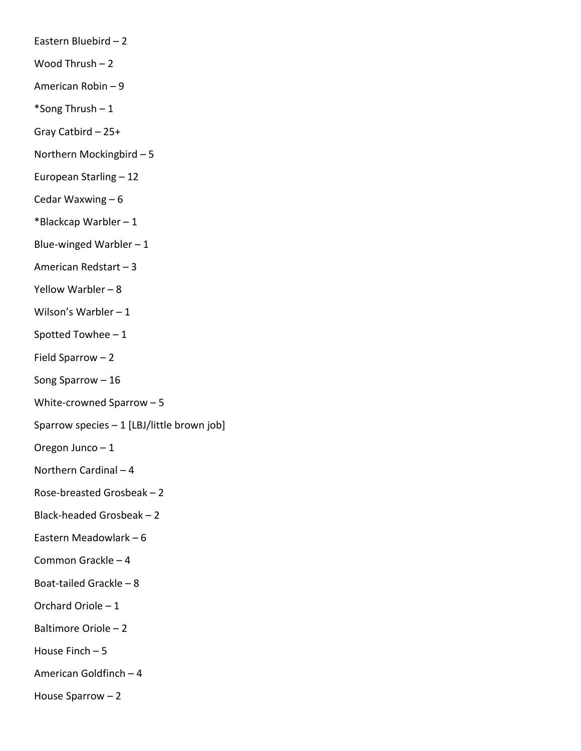- Eastern Bluebird 2
- Wood Thrush 2
- American Robin 9
- \*Song Thrush 1
- Gray Catbird 25+
- Northern Mockingbird 5
- European Starling 12
- Cedar Waxwing 6
- \*Blackcap Warbler 1
- Blue-winged Warbler  $-1$
- American Redstart 3
- Yellow Warbler 8
- Wilson's Warbler 1
- Spotted Towhee 1
- Field Sparrow 2
- Song Sparrow 16
- White-crowned Sparrow 5
- Sparrow species 1 [LBJ/little brown job]
- Oregon Junco 1
- Northern Cardinal 4
- Rose-breasted Grosbeak 2
- Black-headed Grosbeak 2
- Eastern Meadowlark 6
- Common Grackle 4
- Boat-tailed Grackle 8
- Orchard Oriole 1
- Baltimore Oriole 2
- House Finch 5
- American Goldfinch 4
- House Sparrow 2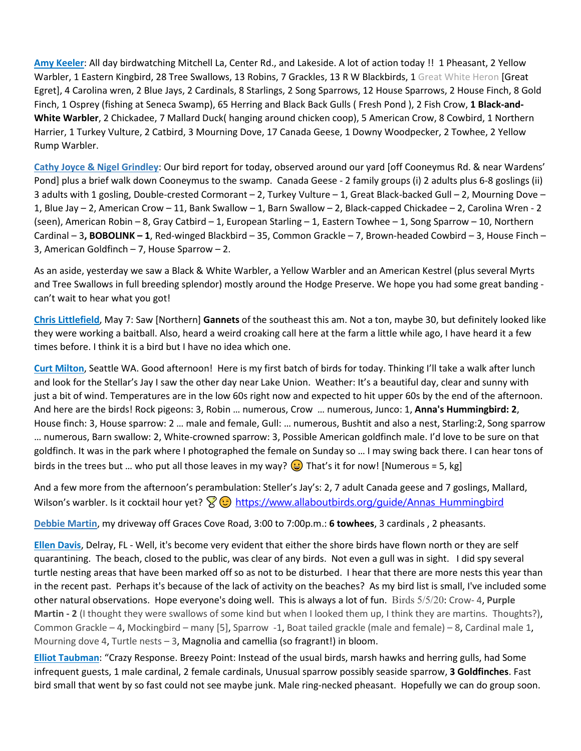**Amy Keeler**: All day birdwatching Mitchell La, Center Rd., and Lakeside. A lot of action today !! 1 Pheasant, 2 Yellow Warbler, 1 Eastern Kingbird, 28 Tree Swallows, 13 Robins, 7 Grackles, 13 R W Blackbirds, 1 Great White Heron [Great Egret], 4 Carolina wren, 2 Blue Jays, 2 Cardinals, 8 Starlings, 2 Song Sparrows, 12 House Sparrows, 2 House Finch, 8 Gold Finch, 1 Osprey (fishing at Seneca Swamp), 65 Herring and Black Back Gulls ( Fresh Pond ), 2 Fish Crow, **1 Black-and-White Warbler**, 2 Chickadee, 7 Mallard Duck( hanging around chicken coop), 5 American Crow, 8 Cowbird, 1 Northern Harrier, 1 Turkey Vulture, 2 Catbird, 3 Mourning Dove, 17 Canada Geese, 1 Downy Woodpecker, 2 Towhee, 2 Yellow Rump Warbler.

**Cathy Joyce & Nigel Grindley**: Our bird report for today, observed around our yard [off Cooneymus Rd. & near Wardens' Pond] plus a brief walk down Cooneymus to the swamp. Canada Geese - 2 family groups (i) 2 adults plus 6-8 goslings (ii) 3 adults with 1 gosling, Double-crested Cormorant – 2, Turkey Vulture – 1, Great Black-backed Gull – 2, Mourning Dove – 1, Blue Jay – 2, American Crow – 11, Bank Swallow – 1, Barn Swallow – 2, Black-capped Chickadee – 2, Carolina Wren - 2 (seen), American Robin – 8, Gray Catbird – 1, European Starling – 1, Eastern Towhee – 1, Song Sparrow – 10, Northern Cardinal – 3**, BOBOLINK – 1**, Red-winged Blackbird – 35, Common Grackle – 7, Brown-headed Cowbird – 3, House Finch – 3, American Goldfinch – 7, House Sparrow – 2.

As an aside, yesterday we saw a Black & White Warbler, a Yellow Warbler and an American Kestrel (plus several Myrts and Tree Swallows in full breeding splendor) mostly around the Hodge Preserve. We hope you had some great banding can't wait to hear what you got!

**Chris Littlefield**, May 7: Saw [Northern] **Gannets** of the southeast this am. Not a ton, maybe 30, but definitely looked like they were working a baitball. Also, heard a weird croaking call here at the farm a little while ago, I have heard it a few times before. I think it is a bird but I have no idea which one.

**Curt Milton**, Seattle WA. Good afternoon! Here is my first batch of birds for today. Thinking I'll take a walk after lunch and look for the Stellar's Jay I saw the other day near Lake Union. Weather: It's a beautiful day, clear and sunny with just a bit of wind. Temperatures are in the low 60s right now and expected to hit upper 60s by the end of the afternoon. And here are the birds! Rock pigeons: 3, Robin … numerous, Crow … numerous, Junco: 1, **Anna's Hummingbird: 2**, House finch: 3, House sparrow: 2 … male and female, Gull: … numerous, Bushtit and also a nest, Starling:2, Song sparrow … numerous, Barn swallow: 2, White-crowned sparrow: 3, Possible American goldfinch male. I'd love to be sure on that goldfinch. It was in the park where I photographed the female on Sunday so … I may swing back there. I can hear tons of birds in the trees but ... who put all those leaves in my way?  $\odot$  That's it for now! [Numerous = 5, kg]

And a few more from the afternoon's perambulation: Steller's Jay's: 2, 7 adult Canada geese and 7 goslings, Mallard, Wilson's warbler. Is it cocktail hour yet?  $\mathbb{R}$   $\odot$  [https://www.allaboutbirds.org/guide/Annas\\_Hummingbird](https://www.allaboutbirds.org/guide/Annas_Hummingbird)

**Debbie Martin**, my driveway off Graces Cove Road, 3:00 to 7:00p.m.: **6 towhees**, 3 cardinals , 2 pheasants.

**Ellen Davis**, Delray, FL - Well, it's become very evident that either the shore birds have flown north or they are self quarantining. The beach, closed to the public, was clear of any birds. Not even a gull was in sight. I did spy several turtle nesting areas that have been marked off so as not to be disturbed. I hear that there are more nests this year than in the recent past. Perhaps it's because of the lack of activity on the beaches? As my bird list is small, I've included some other natural observations. Hope everyone's doing well. This is always a lot of fun. Birds 5/5/20: Crow- 4, **Purple Martin - 2** (I thought they were swallows of some kind but when I looked them up, I think they are martins. Thoughts?), Common Grackle – 4, Mockingbird – many [5], Sparrow -1, Boat tailed grackle (male and female) – 8, Cardinal male 1, Mourning dove 4, Turtle nests – 3, Magnolia and camellia (so fragrant!) in bloom.

**Elliot Taubman**: "Crazy Response. Breezy Point: Instead of the usual birds, marsh hawks and herring gulls, had Some infrequent guests, 1 male cardinal, 2 female cardinals, Unusual sparrow possibly seaside sparrow, **3 Goldfinches**. Fast bird small that went by so fast could not see maybe junk. Male ring-necked pheasant. Hopefully we can do group soon.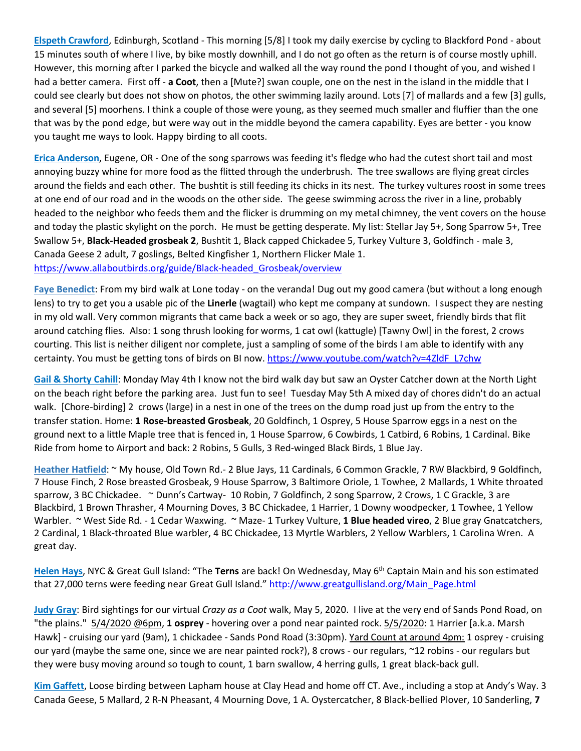**Elspeth Crawford**, Edinburgh, Scotland - This morning [5/8] I took my daily exercise by cycling to Blackford Pond - about 15 minutes south of where I live, by bike mostly downhill, and I do not go often as the return is of course mostly uphill. However, this morning after I parked the bicycle and walked all the way round the pond I thought of you, and wished I had a better camera. First off - **a Coot**, then a [Mute?] swan couple, one on the nest in the island in the middle that I could see clearly but does not show on photos, the other swimming lazily around. Lots [7] of mallards and a few [3] gulls, and several [5] moorhens. I think a couple of those were young, as they seemed much smaller and fluffier than the one that was by the pond edge, but were way out in the middle beyond the camera capability. Eyes are better - you know you taught me ways to look. Happy birding to all coots.

**Erica Anderson**, Eugene, OR - One of the song sparrows was feeding it's fledge who had the cutest short tail and most annoying buzzy whine for more food as the flitted through the underbrush. The tree swallows are flying great circles around the fields and each other. The bushtit is still feeding its chicks in its nest. The turkey vultures roost in some trees at one end of our road and in the woods on the other side. The geese swimming across the river in a line, probably headed to the neighbor who feeds them and the flicker is drumming on my metal chimney, the vent covers on the house and today the plastic skylight on the porch. He must be getting desperate. My list: Stellar Jay 5+, Song Sparrow 5+, Tree Swallow 5+, **Black-Headed grosbeak 2**, Bushtit 1, Black capped Chickadee 5, Turkey Vulture 3, Goldfinch - male 3, Canada Geese 2 adult, 7 goslings, Belted Kingfisher 1, Northern Flicker Male 1. [https://www.allaboutbirds.org/guide/Black-headed\\_Grosbeak/overview](https://www.allaboutbirds.org/guide/Black-headed_Grosbeak/overview)

**Faye Benedict**: From my bird walk at Lone today - on the veranda! Dug out my good camera (but without a long enough lens) to try to get you a usable pic of the **Linerle** (wagtail) who kept me company at sundown. I suspect they are nesting in my old wall. Very common migrants that came back a week or so ago, they are super sweet, friendly birds that flit around catching flies. Also: 1 song thrush looking for worms, 1 cat owl (kattugle) [Tawny Owl] in the forest, 2 crows courting. This list is neither diligent nor complete, just a sampling of some of the birds I am able to identify with any certainty. You must be getting tons of birds on BI now. [https://www.youtube.com/watch?v=4ZldF\\_L7chw](https://www.youtube.com/watch?v=4ZldF_L7chw)

**Gail & Shorty Cahill**: Monday May 4th I know not the bird walk day but saw an Oyster Catcher down at the North Light on the beach right before the parking area. Just fun to see! Tuesday May 5th A mixed day of chores didn't do an actual walk. [Chore-birding] 2 crows (large) in a nest in one of the trees on the dump road just up from the entry to the transfer station. Home: **1 Rose-breasted Grosbeak**, 20 Goldfinch, 1 Osprey, 5 House Sparrow eggs in a nest on the ground next to a little Maple tree that is fenced in, 1 House Sparrow, 6 Cowbirds, 1 Catbird, 6 Robins, 1 Cardinal. Bike Ride from home to Airport and back: 2 Robins, 5 Gulls, 3 Red-winged Black Birds, 1 Blue Jay.

**Heather Hatfield**: ~ My house, Old Town Rd.- 2 Blue Jays, 11 Cardinals, 6 Common Grackle, 7 RW Blackbird, 9 Goldfinch, 7 House Finch, 2 Rose breasted Grosbeak, 9 House Sparrow, 3 Baltimore Oriole, 1 Towhee, 2 Mallards, 1 White throated sparrow, 3 BC Chickadee. ~ Dunn's Cartway- 10 Robin, 7 Goldfinch, 2 song Sparrow, 2 Crows, 1 C Grackle, 3 are Blackbird, 1 Brown Thrasher, 4 Mourning Doves, 3 BC Chickadee, 1 Harrier, 1 Downy woodpecker, 1 Towhee, 1 Yellow Warbler. ~ West Side Rd. - 1 Cedar Waxwing. ~ Maze- 1 Turkey Vulture, **1 Blue headed vireo**, 2 Blue gray Gnatcatchers, 2 Cardinal, 1 Black-throated Blue warbler, 4 BC Chickadee, 13 Myrtle Warblers, 2 Yellow Warblers, 1 Carolina Wren. A great day.

**Helen Hays**, NYC & Great Gull Island: "The **Terns** are back! On Wednesday, May 6th Captain Main and his son estimated that 27,000 terns were feeding near Great Gull Island." [http://www.greatgullisland.org/Main\\_Page.html](http://www.greatgullisland.org/Main_Page.html)

**Judy Gray**: Bird sightings for our virtual *Crazy as a Coot* walk, May 5, 2020. I live at the very end of Sands Pond Road, on "the plains." 5/4/2020 @6pm, **1 osprey** - hovering over a pond near painted rock. 5/5/2020: 1 Harrier [a.k.a. Marsh Hawk] - cruising our yard (9am), 1 chickadee - Sands Pond Road (3:30pm). Yard Count at around 4pm: 1 osprey - cruising our yard (maybe the same one, since we are near painted rock?), 8 crows - our regulars, ~12 robins - our regulars but they were busy moving around so tough to count, 1 barn swallow, 4 herring gulls, 1 great black-back gull.

**Kim Gaffett**, Loose birding between Lapham house at Clay Head and home off CT. Ave., including a stop at Andy's Way. 3 Canada Geese, 5 Mallard, 2 R-N Pheasant, 4 Mourning Dove, 1 A. Oystercatcher, 8 Black-bellied Plover, 10 Sanderling, **7**